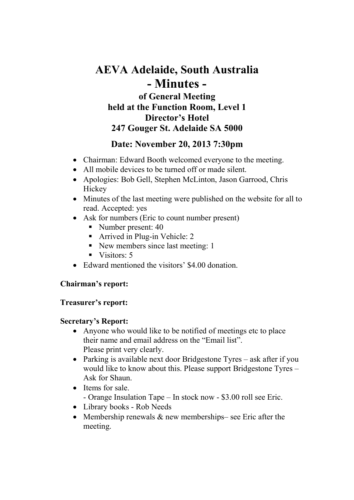# AEVA Adelaide, South Australia - Minutes of General Meeting held at the Function Room, Level 1 Director's Hotel 247 Gouger St. Adelaide SA 5000

# Date: November 20, 2013 7:30pm

- Chairman: Edward Booth welcomed everyone to the meeting.
- All mobile devices to be turned off or made silent.
- Apologies: Bob Gell, Stephen McLinton, Jason Garrood, Chris **Hickey**
- Minutes of the last meeting were published on the website for all to read. Accepted: yes
- Ask for numbers (Eric to count number present)
	- Number present: 40
	- Arrived in Plug-in Vehicle: 2
	- New members since last meeting: 1
	- $\blacksquare$  Visitors: 5
- Edward mentioned the visitors' \$4.00 donation.

# Chairman's report:

#### Treasurer's report:

#### Secretary's Report:

- Anyone who would like to be notified of meetings etc to place their name and email address on the "Email list". Please print very clearly.
- Parking is available next door Bridgestone Tyres ask after if you would like to know about this. Please support Bridgestone Tyres – Ask for Shaun.
- Items for sale. - Orange Insulation Tape – In stock now - \$3.00 roll see Eric.
- Library books Rob Needs
- Membership renewals  $&$  new memberships– see Eric after the meeting.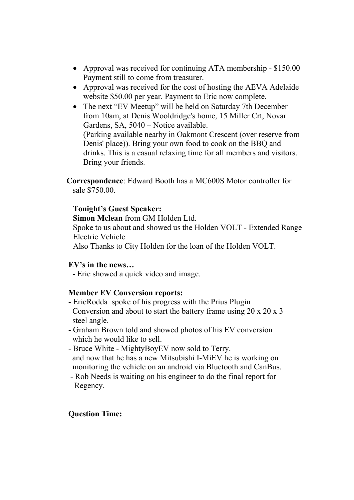- Approval was received for continuing ATA membership \$150.00 Payment still to come from treasurer.
- Approval was received for the cost of hosting the AEVA Adelaide website \$50.00 per year. Payment to Eric now complete.
- The next "EV Meetup" will be held on Saturday 7th December from 10am, at Denis Wooldridge's home, 15 Miller Crt, Novar Gardens, SA, 5040 – Notice available. (Parking available nearby in Oakmont Crescent (over reserve from Denis' place)). Bring your own food to cook on the BBQ and drinks. This is a casual relaxing time for all members and visitors. Bring your friends.
- Correspondence: Edward Booth has a MC600S Motor controller for sale \$750.00.

### Tonight's Guest Speaker:

Simon Mclean from GM Holden Ltd.

Spoke to us about and showed us the Holden VOLT - Extended Range Electric Vehicle

Also Thanks to City Holden for the loan of the Holden VOLT.

#### EV's in the news…

- Eric showed a quick video and image.

# Member EV Conversion reports:

- EricRodda spoke of his progress with the Prius Plugin Conversion and about to start the battery frame using 20 x 20 x 3 steel angle.
- Graham Brown told and showed photos of his EV conversion which he would like to sell.
- Bruce White MightyBoyEV now sold to Terry. and now that he has a new Mitsubishi I-MiEV he is working on monitoring the vehicle on an android via Bluetooth and CanBus.
- Rob Needs is waiting on his engineer to do the final report for Regency.

# Question Time: